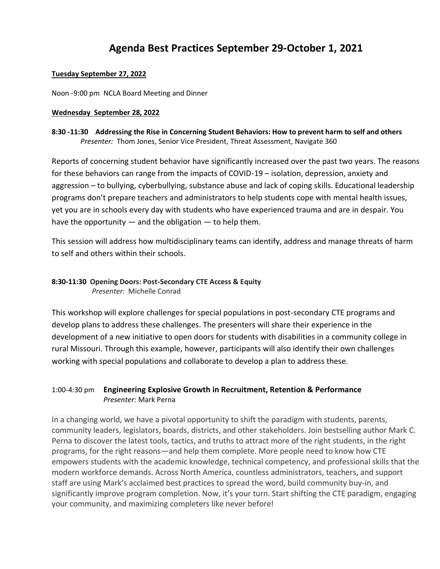# **Agenda Best Practices September 29-October 1, 2021**

## **Tuesday September 27, 2022**

Noon -9:00 pm NCLA Board Meeting and Dinner

## **Wednesday September 28, 2022**

## **8:30 -11:30 Addressing the Rise in Concerning Student Behaviors: How to prevent harm to self and others** *Presenter:* Thom Jones, Senior Vice President, Threat Assessment, Navigate 360

Reports of concerning student behavior have significantly increased over the past two years. The reasons for these behaviors can range from the impacts of COVID-19 – isolation, depression, anxiety and aggression – to bullying, cyberbullying, substance abuse and lack of coping skills. Educational leadership programs don't prepare teachers and administrators to help students cope with mental health issues, yet you are in schools every day with students who have experienced trauma and are in despair. You have the opportunity  $-$  and the obligation  $-$  to help them.

This session will address how multidisciplinary teams can identify, address and manage threats of harm to self and others within their schools.

# **8:30-11:30 Opening Doors: Post-Secondary CTE Access & Equity**  *Presenter:* Michelle Conrad

This workshop will explore challenges for special populations in post-secondary CTE programs and develop plans to address these challenges. The presenters will share their experience in the development of a new initiative to open doors for students with disabilities in a community college in rural Missouri. Through this example, however, participants will also identify their own challenges working with special populations and collaborate to develop a plan to address these.

# 1:00-4:30 pm **Engineering Explosive Growth in Recruitment, Retention & Performance** *Presenter:* Mark Perna

In a changing world, we have a pivotal opportunity to shift the paradigm with students, parents, community leaders, legislators, boards, districts, and other stakeholders. Join bestselling author Mark C. Perna to discover the latest tools, tactics, and truths to attract more of the right students, in the right programs, for the right reasons—and help them complete. More people need to know how CTE empowers students with the academic knowledge, technical competency, and professional skills that the modern workforce demands. Across North America, countless administrators, teachers, and support staff are using Mark's acclaimed best practices to spread the word, build community buy-in, and significantly improve program completion. Now, it's your turn. Start shifting the CTE paradigm, engaging your community, and maximizing completers like never before!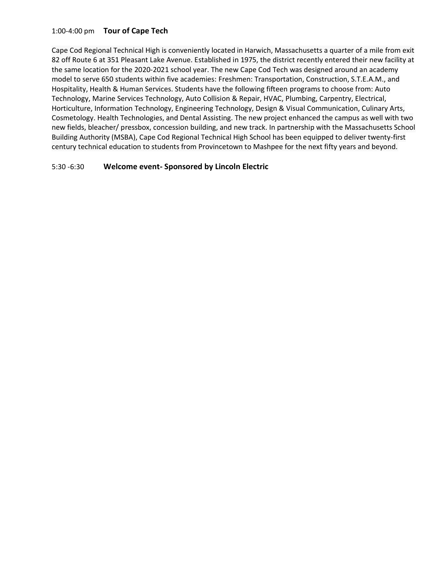## 1:00-4:00 pm **Tour of Cape Tech**

Cape Cod Regional Technical High is conveniently located in Harwich, Massachusetts a quarter of a mile from exit 82 off Route 6 at 351 Pleasant Lake Avenue. Established in 1975, the district recently entered their new facility at the same location for the 2020-2021 school year. The new Cape Cod Tech was designed around an academy model to serve 650 students within five academies: Freshmen: Transportation, Construction, S.T.E.A.M., and Hospitality, Health & Human Services. Students have the following fifteen programs to choose from: Auto Technology, Marine Services Technology, Auto Collision & Repair, HVAC, Plumbing, Carpentry, Electrical, Horticulture, Information Technology, Engineering Technology, Design & Visual Communication, Culinary Arts, Cosmetology. Health Technologies, and Dental Assisting. The new project enhanced the campus as well with two new fields, bleacher/ pressbox, concession building, and new track. In partnership with the Massachusetts School Building Authority (MSBA), Cape Cod Regional Technical High School has been equipped to deliver twenty-first century technical education to students from Provincetown to Mashpee for the next fifty years and beyond.

## 5:30 -6:30 **Welcome event- Sponsored by Lincoln Electric**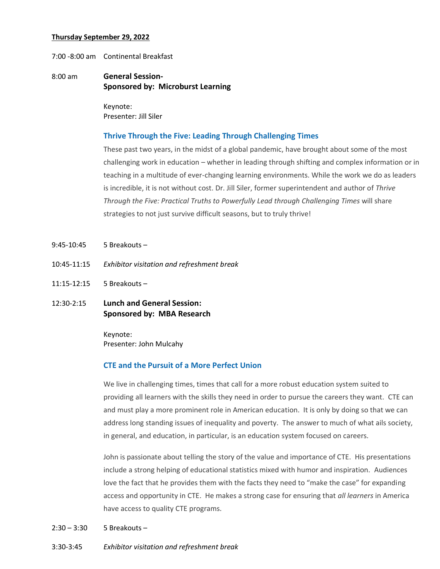### **Thursday September 29, 2022**

7:00 -8:00 am Continental Breakfast

## 8:00 am **General Session-Sponsored by: Microburst Learning**

Keynote: Presenter: Jill Siler

#### **Thrive Through the Five: Leading Through Challenging Times**

These past two years, in the midst of a global pandemic, have brought about some of the most challenging work in education – whether in leading through shifting and complex information or in teaching in a multitude of ever-changing learning environments. While the work we do as leaders is incredible, it is not without cost. Dr. Jill Siler, former superintendent and author of *Thrive Through the Five: Practical Truths to Powerfully Lead through Challenging Times* will share strategies to not just survive difficult seasons, but to truly thrive!

- 9:45-10:45 5 Breakouts –
- 10:45-11:15 *Exhibitor visitation and refreshment break*
- 11:15-12:15 5 Breakouts –
- 12:30-2:15 **Lunch and General Session: Sponsored by: MBA Research**

Keynote: Presenter: John Mulcahy

#### **CTE and the Pursuit of a More Perfect Union**

We live in challenging times, times that call for a more robust education system suited to providing all learners with the skills they need in order to pursue the careers they want. CTE can and must play a more prominent role in American education. It is only by doing so that we can address long standing issues of inequality and poverty. The answer to much of what ails society, in general, and education, in particular, is an education system focused on careers.

John is passionate about telling the story of the value and importance of CTE. His presentations include a strong helping of educational statistics mixed with humor and inspiration. Audiences love the fact that he provides them with the facts they need to "make the case" for expanding access and opportunity in CTE. He makes a strong case for ensuring that *all learners* in America have access to quality CTE programs.

#### $2:30 - 3:30$  5 Breakouts –